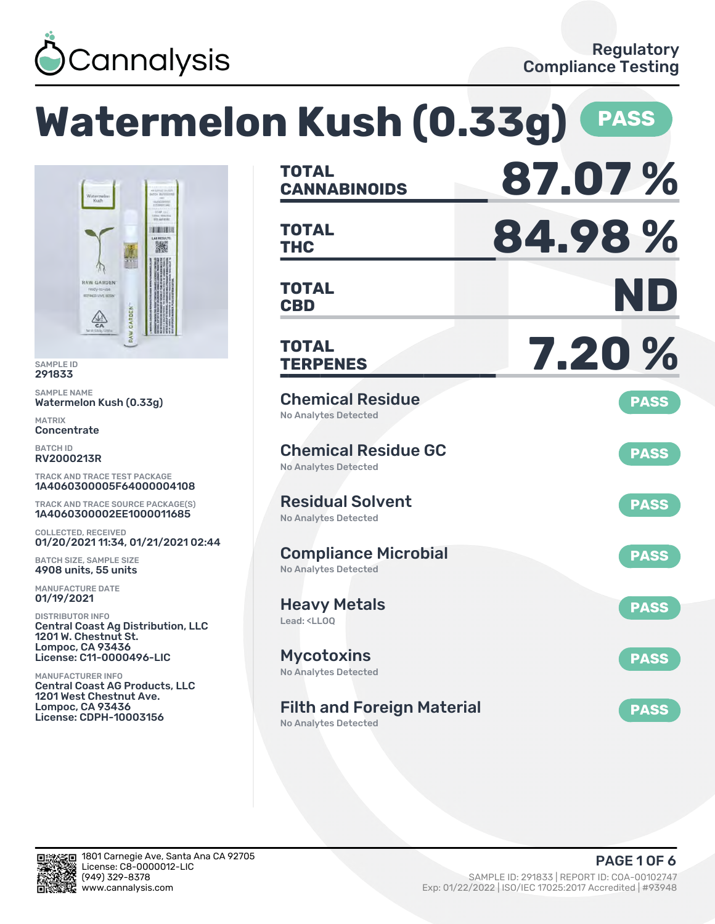

# **Watermelon Kush (0.33g) PASS**



SAMPLE ID 291833

SAMPLE NAME Watermelon Kush (0.33g)

MATRIX **Concentrate** 

BATCH ID RV2000213R

TRACK AND TRACE TEST PACKAGE 1A4060300005F64000004108

TRACK AND TRACE SOURCE PACKAGE(S) 1A4060300002EE1000011685

COLLECTED, RECEIVED 01/20/2021 11:34, 01/21/2021 02:44

BATCH SIZE, SAMPLE SIZE 4908 units, 55 units

MANUFACTURE DATE 01/19/2021

DISTRIBUTOR INFO Central Coast Ag Distribution, LLC 1201 W. Chestnut St. Lompoc, CA 93436 License: C11-0000496-LIC

MANUFACTURER INFO Central Coast AG Products, LLC 1201 West Chestnut Ave. Lompoc, CA 93436 License: CDPH-10003156

| <b>TOTAL</b><br><b>CANNABINOIDS</b>                                    | 87.07%      |
|------------------------------------------------------------------------|-------------|
| TOTAL<br><b>THC</b>                                                    | 84.98%      |
| <b>TOTAL</b><br><b>CBD</b>                                             | ND          |
| <b>TOTAL</b><br><b>TERPENES</b>                                        | 7.20%       |
| <b>Chemical Residue</b><br><b>No Analytes Detected</b>                 | <b>PASS</b> |
| <b>Chemical Residue GC</b><br>No Analytes Detected                     | <b>PASS</b> |
| <b>Residual Solvent</b><br><b>No Analytes Detected</b>                 | <b>PASS</b> |
| <b>Compliance Microbial</b><br><b>No Analytes Detected</b>             | <b>PASS</b> |
| <b>Heavy Metals</b><br>Lead: <ll00< td=""><td><b>PASS</b></td></ll00<> | <b>PASS</b> |
| <b>Mycotoxins</b><br>No Analytes Detected                              | <b>PASS</b> |
| <b>Filth and Foreign Material</b><br><b>No Analytes Detected</b>       | <b>PASS</b> |

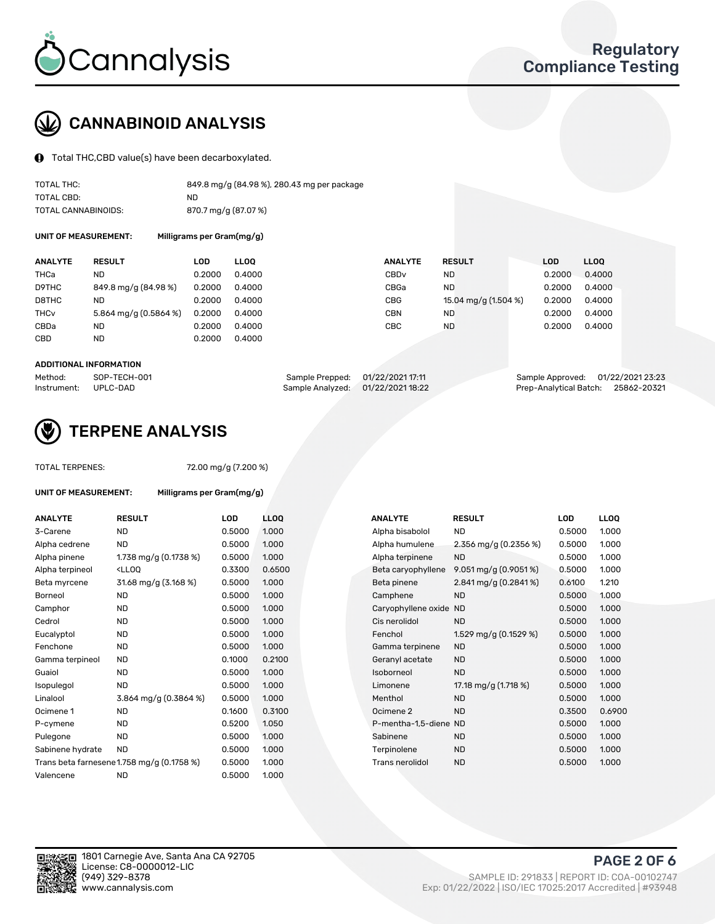

## CANNABINOID ANALYSIS

Total THC,CBD value(s) have been decarboxylated.

| TOTAL THC:          | 849.8 mg/g (84.98 %), 280.43 mg per package |
|---------------------|---------------------------------------------|
| TOTAL CBD:          | ND.                                         |
| TOTAL CANNABINOIDS: | 870.7 mg/g (87.07 %)                        |

UNIT OF MEASUREMENT: Milligrams per Gram(mg/g)

| <b>ANALYTE</b>         | <b>RESULT</b>         | <b>LOD</b> | <b>LLOO</b> | <b>ANALYTE</b>   | <b>RESULT</b>        | <b>LOD</b> | <b>LLOQ</b> |
|------------------------|-----------------------|------------|-------------|------------------|----------------------|------------|-------------|
| THCa                   | ND                    | 0.2000     | 0.4000      | CBD <sub>v</sub> | <b>ND</b>            | 0.2000     | 0.4000      |
| D9THC                  | 849.8 mg/g (84.98 %)  | 0.2000     | 0.4000      | CBGa             | <b>ND</b>            | 0.2000     | 0.4000      |
| D8THC                  | ND                    | 0.2000     | 0.4000      | CBG              | 15.04 mg/g (1.504 %) | 0.2000     | 0.4000      |
| <b>THC<sub>v</sub></b> | 5.864 mg/g (0.5864 %) | 0.2000     | 0.4000      | <b>CBN</b>       | ND                   | 0.2000     | 0.4000      |
| CBDa                   | ND                    | 0.2000     | 0.4000      | CBC              | <b>ND</b>            | 0.2000     | 0.4000      |
| CBD                    | <b>ND</b>             | 0.2000     | 0.4000      |                  |                      |            |             |

#### ADDITIONAL INFORMATION

| Method:              | SOP-TECH-001 | Sample Prepped: 01/22/2021 17:11  | Sample Approved: 01/22/2021 23:23  |  |
|----------------------|--------------|-----------------------------------|------------------------------------|--|
| Instrument: UPLC-DAD |              | Sample Analyzed: 01/22/2021 18:22 | Prep-Analytical Batch: 25862-20321 |  |



## TERPENE ANALYSIS

TOTAL TERPENES: 72.00 mg/g (7.200 %)

| UNIT OF MEASUREMENT: |                       | Milligrams per Gram(mg/g) |         |
|----------------------|-----------------------|---------------------------|---------|
| <b>ANALYTE</b>       | <b>RESULT</b>         | LOD                       |         |
| 3-Carene             | ND                    | 0.5000                    | ٠       |
| Alpha cedrene        | ND                    | 0.5000                    | ٠       |
| Alpha pinene         | 1.738 mg/g (0.1738 %) | 0.5000                    | $\cdot$ |
| Alpha ternineol      | $\left(1100\right)$   | n zznn                    |         |

| <b>ANALYIE</b>   | RESULI                                                                                                                                            | LUD    | LLUU   |  | <b>ANALYIE</b>         | RESULI                  | LUD    | LLUU   |
|------------------|---------------------------------------------------------------------------------------------------------------------------------------------------|--------|--------|--|------------------------|-------------------------|--------|--------|
| 3-Carene         | <b>ND</b>                                                                                                                                         | 0.5000 | 1.000  |  | Alpha bisabolol        | <b>ND</b>               | 0.5000 | 1.000  |
| Alpha cedrene    | ND.                                                                                                                                               | 0.5000 | 1.000  |  | Alpha humulene         | 2.356 mg/g $(0.2356\%)$ | 0.5000 | 1.000  |
| Alpha pinene     | 1.738 mg/g $(0.1738\%)$                                                                                                                           | 0.5000 | 1.000  |  | Alpha terpinene        | <b>ND</b>               | 0.5000 | 1.000  |
| Alpha terpineol  | <lloq< td=""><td>0.3300</td><td>0.6500</td><td></td><td>Beta caryophyllene</td><td>9.051 mg/g (0.9051%)</td><td>0.5000</td><td>1.000</td></lloq<> | 0.3300 | 0.6500 |  | Beta caryophyllene     | 9.051 mg/g (0.9051%)    | 0.5000 | 1.000  |
| Beta myrcene     | 31.68 mg/g (3.168 %)                                                                                                                              | 0.5000 | 1.000  |  | Beta pinene            | 2.841 mg/g $(0.2841\%)$ | 0.6100 | 1.210  |
| Borneol          | <b>ND</b>                                                                                                                                         | 0.5000 | 1.000  |  | Camphene               | <b>ND</b>               | 0.5000 | 1.000  |
| Camphor          | <b>ND</b>                                                                                                                                         | 0.5000 | 1.000  |  | Caryophyllene oxide ND |                         | 0.5000 | 1.000  |
| Cedrol           | <b>ND</b>                                                                                                                                         | 0.5000 | 1.000  |  | Cis nerolidol          | <b>ND</b>               | 0.5000 | 1.000  |
| Eucalyptol       | <b>ND</b>                                                                                                                                         | 0.5000 | 1.000  |  | Fenchol                | 1.529 mg/g $(0.1529\%)$ | 0.5000 | 1.000  |
| Fenchone         | <b>ND</b>                                                                                                                                         | 0.5000 | 1.000  |  | Gamma terpinene        | <b>ND</b>               | 0.5000 | 1.000  |
| Gamma terpineol  | ND                                                                                                                                                | 0.1000 | 0.2100 |  | Geranyl acetate        | <b>ND</b>               | 0.5000 | 1.000  |
| Guaiol           | <b>ND</b>                                                                                                                                         | 0.5000 | 1.000  |  | Isoborneol             | <b>ND</b>               | 0.5000 | 1.000  |
| Isopulegol       | <b>ND</b>                                                                                                                                         | 0.5000 | 1.000  |  | Limonene               | 17.18 mg/g (1.718 %)    | 0.5000 | 1.000  |
| Linalool         | 3.864 mg/g (0.3864 %)                                                                                                                             | 0.5000 | 1.000  |  | Menthol                | <b>ND</b>               | 0.5000 | 1.000  |
| Ocimene 1        | <b>ND</b>                                                                                                                                         | 0.1600 | 0.3100 |  | Ocimene 2              | <b>ND</b>               | 0.3500 | 0.6900 |
| P-cymene         | <b>ND</b>                                                                                                                                         | 0.5200 | 1.050  |  | P-mentha-1,5-diene ND  |                         | 0.5000 | 1.000  |
| Pulegone         | <b>ND</b>                                                                                                                                         | 0.5000 | 1.000  |  | Sabinene               | <b>ND</b>               | 0.5000 | 1.000  |
| Sabinene hydrate | <b>ND</b>                                                                                                                                         | 0.5000 | 1.000  |  | Terpinolene            | <b>ND</b>               | 0.5000 | 1.000  |
|                  | Trans beta farnesene1.758 mg/g (0.1758 %)                                                                                                         | 0.5000 | 1.000  |  | Trans nerolidol        | <b>ND</b>               | 0.5000 | 1.000  |
| Valencene        | <b>ND</b>                                                                                                                                         | 0.5000 | 1.000  |  |                        |                         |        |        |

| <b>ANALYTE</b>   | <b>RESULT</b>                                                                                                                                          | LOD    | <b>LLOQ</b> | <b>ANALYTE</b>         | <b>RESULT</b>           | <b>LOD</b> | <b>LLOQ</b> |
|------------------|--------------------------------------------------------------------------------------------------------------------------------------------------------|--------|-------------|------------------------|-------------------------|------------|-------------|
| 3-Carene         | ND.                                                                                                                                                    | 0.5000 | 1.000       | Alpha bisabolol        | <b>ND</b>               | 0.5000     | 1.000       |
| Alpha cedrene    | <b>ND</b>                                                                                                                                              | 0.5000 | 1.000       | Alpha humulene         | 2.356 mg/g $(0.2356\%)$ | 0.5000     | 1.000       |
| Alpha pinene     | 1.738 mg/g (0.1738 %)                                                                                                                                  | 0.5000 | 1.000       | Alpha terpinene        | <b>ND</b>               | 0.5000     | 1.000       |
| Alpha terpineol  | <lloq< td=""><td>0.3300</td><td>0.6500</td><td>Beta caryophyllene</td><td>9.051 mg/g <math>(0.9051\%)</math></td><td>0.5000</td><td>1.000</td></lloq<> | 0.3300 | 0.6500      | Beta caryophyllene     | 9.051 mg/g $(0.9051\%)$ | 0.5000     | 1.000       |
| Beta myrcene     | 31.68 mg/g (3.168 %)                                                                                                                                   | 0.5000 | 1.000       | Beta pinene            | 2.841 mg/g $(0.2841\%)$ | 0.6100     | 1.210       |
| Borneol          | ND                                                                                                                                                     | 0.5000 | 1.000       | Camphene               | <b>ND</b>               | 0.5000     | 1.000       |
| Camphor          | ND                                                                                                                                                     | 0.5000 | 1.000       | Caryophyllene oxide ND |                         | 0.5000     | 1.000       |
| Cedrol           | <b>ND</b>                                                                                                                                              | 0.5000 | 1.000       | Cis nerolidol          | <b>ND</b>               | 0.5000     | 1.000       |
| Eucalyptol       | <b>ND</b>                                                                                                                                              | 0.5000 | 1.000       | Fenchol                | 1.529 mg/g (0.1529 %)   | 0.5000     | 1.000       |
| Fenchone         | <b>ND</b>                                                                                                                                              | 0.5000 | 1.000       | Gamma terpinene        | <b>ND</b>               | 0.5000     | 1.000       |
| Gamma terpineol  | ND                                                                                                                                                     | 0.1000 | 0.2100      | Geranyl acetate        | <b>ND</b>               | 0.5000     | 1.000       |
| Guaiol           | <b>ND</b>                                                                                                                                              | 0.5000 | 1.000       | Isoborneol             | <b>ND</b>               | 0.5000     | 1.000       |
| Isopulegol       | <b>ND</b>                                                                                                                                              | 0.5000 | 1.000       | Limonene               | 17.18 mg/g (1.718 %)    | 0.5000     | 1.000       |
| Linalool         | 3.864 mg/g (0.3864 %)                                                                                                                                  | 0.5000 | 1.000       | Menthol                | <b>ND</b>               | 0.5000     | 1.000       |
| Ocimene 1        | ND.                                                                                                                                                    | 0.1600 | 0.3100      | Ocimene 2              | <b>ND</b>               | 0.3500     | 0.6900      |
| P-cymene         | <b>ND</b>                                                                                                                                              | 0.5200 | 1.050       | P-mentha-1,5-diene ND  |                         | 0.5000     | 1.000       |
| Pulegone         | <b>ND</b>                                                                                                                                              | 0.5000 | 1.000       | Sabinene               | <b>ND</b>               | 0.5000     | 1.000       |
| Sabinene hydrate | <b>ND</b>                                                                                                                                              | 0.5000 | 1.000       | Terpinolene            | <b>ND</b>               | 0.5000     | 1.000       |
|                  | Trans beta farnesene1.758 mg/g (0.1758 %)                                                                                                              | 0.5000 | 1.000       | Trans nerolidol        | <b>ND</b>               | 0.5000     | 1.000       |
|                  |                                                                                                                                                        |        |             |                        |                         |            |             |

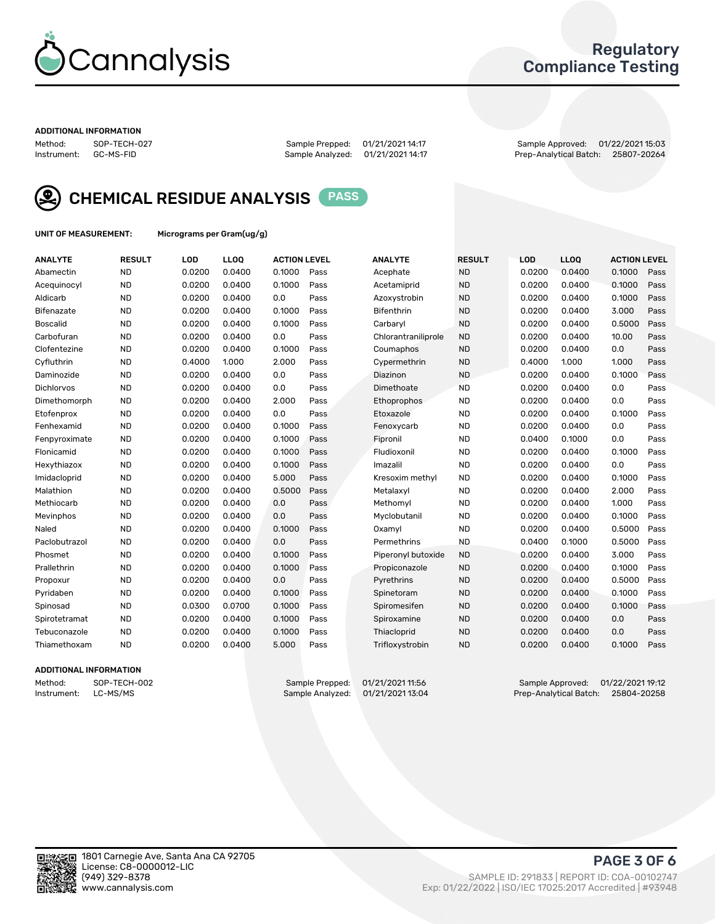

## Regulatory Compliance Testing

#### ADDITIONAL INFORMATION

Method: SOP-TECH-027 Sample Prepped: 01/21/2021 14:17 Sample Approved: 01/22/2021 15:03 Prep-Analytical Batch: 25807-20264



CHEMICAL RESIDUE ANALYSIS PASS

UNIT OF MEASUREMENT: Micrograms per Gram(ug/g)

| <b>ANALYTE</b>    | <b>RESULT</b> | LOD    | LLOQ   | <b>ACTION LEVEL</b> |      | <b>ANALYTE</b>      | <b>RESULT</b> | <b>LOD</b> | <b>LLOQ</b> | <b>ACTION LEVEL</b> |      |
|-------------------|---------------|--------|--------|---------------------|------|---------------------|---------------|------------|-------------|---------------------|------|
| Abamectin         | <b>ND</b>     | 0.0200 | 0.0400 | 0.1000              | Pass | Acephate            | <b>ND</b>     | 0.0200     | 0.0400      | 0.1000              | Pass |
| Acequinocyl       | <b>ND</b>     | 0.0200 | 0.0400 | 0.1000              | Pass | Acetamiprid         | <b>ND</b>     | 0.0200     | 0.0400      | 0.1000              | Pass |
| Aldicarb          | <b>ND</b>     | 0.0200 | 0.0400 | 0.0                 | Pass | Azoxystrobin        | <b>ND</b>     | 0.0200     | 0.0400      | 0.1000              | Pass |
| Bifenazate        | <b>ND</b>     | 0.0200 | 0.0400 | 0.1000              | Pass | <b>Bifenthrin</b>   | <b>ND</b>     | 0.0200     | 0.0400      | 3.000               | Pass |
| <b>Boscalid</b>   | <b>ND</b>     | 0.0200 | 0.0400 | 0.1000              | Pass | Carbarvl            | <b>ND</b>     | 0.0200     | 0.0400      | 0.5000              | Pass |
| Carbofuran        | <b>ND</b>     | 0.0200 | 0.0400 | 0.0                 | Pass | Chlorantraniliprole | <b>ND</b>     | 0.0200     | 0.0400      | 10.00               | Pass |
| Clofentezine      | <b>ND</b>     | 0.0200 | 0.0400 | 0.1000              | Pass | Coumaphos           | <b>ND</b>     | 0.0200     | 0.0400      | 0.0                 | Pass |
| Cyfluthrin        | <b>ND</b>     | 0.4000 | 1.000  | 2.000               | Pass | Cypermethrin        | <b>ND</b>     | 0.4000     | 1.000       | 1.000               | Pass |
| Daminozide        | <b>ND</b>     | 0.0200 | 0.0400 | 0.0                 | Pass | Diazinon            | <b>ND</b>     | 0.0200     | 0.0400      | 0.1000              | Pass |
| <b>Dichlorvos</b> | <b>ND</b>     | 0.0200 | 0.0400 | 0.0                 | Pass | Dimethoate          | <b>ND</b>     | 0.0200     | 0.0400      | 0.0                 | Pass |
| Dimethomorph      | <b>ND</b>     | 0.0200 | 0.0400 | 2.000               | Pass | <b>Ethoprophos</b>  | <b>ND</b>     | 0.0200     | 0.0400      | 0.0                 | Pass |
| Etofenprox        | <b>ND</b>     | 0.0200 | 0.0400 | 0.0                 | Pass | Etoxazole           | <b>ND</b>     | 0.0200     | 0.0400      | 0.1000              | Pass |
| Fenhexamid        | <b>ND</b>     | 0.0200 | 0.0400 | 0.1000              | Pass | Fenoxycarb          | <b>ND</b>     | 0.0200     | 0.0400      | 0.0                 | Pass |
| Fenpyroximate     | <b>ND</b>     | 0.0200 | 0.0400 | 0.1000              | Pass | Fipronil            | <b>ND</b>     | 0.0400     | 0.1000      | 0.0                 | Pass |
| Flonicamid        | <b>ND</b>     | 0.0200 | 0.0400 | 0.1000              | Pass | Fludioxonil         | <b>ND</b>     | 0.0200     | 0.0400      | 0.1000              | Pass |
| Hexythiazox       | <b>ND</b>     | 0.0200 | 0.0400 | 0.1000              | Pass | Imazalil            | <b>ND</b>     | 0.0200     | 0.0400      | 0.0                 | Pass |
| Imidacloprid      | <b>ND</b>     | 0.0200 | 0.0400 | 5.000               | Pass | Kresoxim methyl     | <b>ND</b>     | 0.0200     | 0.0400      | 0.1000              | Pass |
| Malathion         | <b>ND</b>     | 0.0200 | 0.0400 | 0.5000              | Pass | Metalaxyl           | <b>ND</b>     | 0.0200     | 0.0400      | 2.000               | Pass |
| Methiocarb        | <b>ND</b>     | 0.0200 | 0.0400 | 0.0                 | Pass | Methomyl            | <b>ND</b>     | 0.0200     | 0.0400      | 1.000               | Pass |
| Mevinphos         | <b>ND</b>     | 0.0200 | 0.0400 | 0.0                 | Pass | Myclobutanil        | <b>ND</b>     | 0.0200     | 0.0400      | 0.1000              | Pass |
| Naled             | <b>ND</b>     | 0.0200 | 0.0400 | 0.1000              | Pass | Oxamyl              | <b>ND</b>     | 0.0200     | 0.0400      | 0.5000              | Pass |
| Paclobutrazol     | <b>ND</b>     | 0.0200 | 0.0400 | 0.0                 | Pass | Permethrins         | <b>ND</b>     | 0.0400     | 0.1000      | 0.5000              | Pass |
| Phosmet           | <b>ND</b>     | 0.0200 | 0.0400 | 0.1000              | Pass | Piperonyl butoxide  | <b>ND</b>     | 0.0200     | 0.0400      | 3.000               | Pass |
| Prallethrin       | <b>ND</b>     | 0.0200 | 0.0400 | 0.1000              | Pass | Propiconazole       | <b>ND</b>     | 0.0200     | 0.0400      | 0.1000              | Pass |
| Propoxur          | <b>ND</b>     | 0.0200 | 0.0400 | 0.0                 | Pass | Pyrethrins          | <b>ND</b>     | 0.0200     | 0.0400      | 0.5000              | Pass |
| Pyridaben         | <b>ND</b>     | 0.0200 | 0.0400 | 0.1000              | Pass | Spinetoram          | <b>ND</b>     | 0.0200     | 0.0400      | 0.1000              | Pass |
| Spinosad          | <b>ND</b>     | 0.0300 | 0.0700 | 0.1000              | Pass | Spiromesifen        | <b>ND</b>     | 0.0200     | 0.0400      | 0.1000              | Pass |
| Spirotetramat     | <b>ND</b>     | 0.0200 | 0.0400 | 0.1000              | Pass | Spiroxamine         | <b>ND</b>     | 0.0200     | 0.0400      | 0.0                 | Pass |
| Tebuconazole      | <b>ND</b>     | 0.0200 | 0.0400 | 0.1000              | Pass | Thiacloprid         | <b>ND</b>     | 0.0200     | 0.0400      | 0.0                 | Pass |
| Thiamethoxam      | <b>ND</b>     | 0.0200 | 0.0400 | 5.000               | Pass | Trifloxystrobin     | <b>ND</b>     | 0.0200     | 0.0400      | 0.1000              | Pass |
|                   |               |        |        |                     |      |                     |               |            |             |                     |      |

#### ADDITIONAL INFORMATION

Method: SOP-TECH-002 Sample Prepped: 01/21/2021 11:56 Sample Approved: 01/22/2021 19:12<br>Instrument: LC-MS/MS Sample Analyzed: 01/21/2021 13:04 Prep-Analytical Batch: 25804-20258 Prep-Analytical Batch: 25804-20258

PAGE 3 OF 6

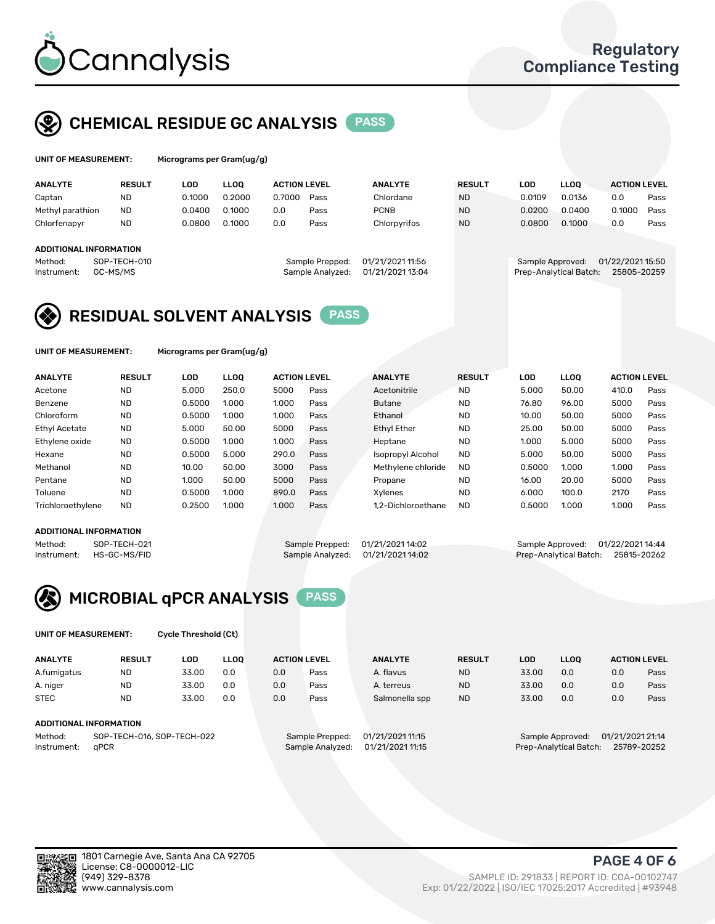

## CHEMICAL RESIDUE GC ANALYSIS PASS

| UNIT OF MEASUREMENT: | Micrograms per Gram(ug/g) |
|----------------------|---------------------------|
|                      |                           |

| <b>ANALYTE</b>                | <b>RESULT</b> | LOD    | <b>LLOO</b> | <b>ACTION LEVEL</b> |                  | <b>ANALYTE</b>   | <b>RESULT</b> | LOD              | <b>LLOO</b>            | <b>ACTION LEVEL</b> |      |
|-------------------------------|---------------|--------|-------------|---------------------|------------------|------------------|---------------|------------------|------------------------|---------------------|------|
| Captan                        | <b>ND</b>     | 0.1000 | 0.2000      | 0.7000              | Pass             | Chlordane        | <b>ND</b>     | 0.0109           | 0.0136                 | 0.0                 | Pass |
| Methyl parathion              | <b>ND</b>     | 0.0400 | 0.1000      | 0.0                 | Pass             | <b>PCNB</b>      | <b>ND</b>     | 0.0200           | 0.0400                 | 0.1000              | Pass |
| Chlorfenapyr                  | <b>ND</b>     | 0.0800 | 0.1000      | 0.0                 | Pass             | Chlorpyrifos     | <b>ND</b>     | 0.0800           | 0.1000                 | 0.0                 | Pass |
|                               |               |        |             |                     |                  |                  |               |                  |                        |                     |      |
| <b>ADDITIONAL INFORMATION</b> |               |        |             |                     |                  |                  |               |                  |                        |                     |      |
| Method:                       | SOP-TECH-010  |        |             |                     | Sample Prepped:  | 01/21/2021 11:56 |               | Sample Approved: |                        | 01/22/2021 15:50    |      |
| Instrument:                   | GC-MS/MS      |        |             |                     | Sample Analyzed: | 01/21/2021 13:04 |               |                  | Prep-Analytical Batch: | 25805-20259         |      |

## RESIDUAL SOLVENT ANALYSIS PASS

UNIT OF MEASUREMENT: Micrograms per Gram(ug/g)

| <b>ANALYTE</b>       | <b>RESULT</b> | <b>LOD</b> | <b>LLOO</b> | <b>ACTION LEVEL</b> |      | <b>ANALYTE</b>           | <b>RESULT</b> | <b>LOD</b> | LLOO  | <b>ACTION LEVEL</b> |      |
|----------------------|---------------|------------|-------------|---------------------|------|--------------------------|---------------|------------|-------|---------------------|------|
| Acetone              | <b>ND</b>     | 5.000      | 250.0       | 5000                | Pass | Acetonitrile             | <b>ND</b>     | 5.000      | 50.00 | 410.0               | Pass |
| Benzene              | <b>ND</b>     | 0.5000     | 1.000       | 1.000               | Pass | <b>Butane</b>            | <b>ND</b>     | 76.80      | 96.00 | 5000                | Pass |
| Chloroform           | <b>ND</b>     | 0.5000     | 1.000       | 1.000               | Pass | Ethanol                  | <b>ND</b>     | 10.00      | 50.00 | 5000                | Pass |
| <b>Ethyl Acetate</b> | <b>ND</b>     | 5.000      | 50.00       | 5000                | Pass | <b>Ethyl Ether</b>       | <b>ND</b>     | 25.00      | 50.00 | 5000                | Pass |
| Ethylene oxide       | <b>ND</b>     | 0.5000     | 1.000       | 1.000               | Pass | Heptane                  | <b>ND</b>     | 1.000      | 5.000 | 5000                | Pass |
| Hexane               | <b>ND</b>     | 0.5000     | 5.000       | 290.0               | Pass | <b>Isopropyl Alcohol</b> | <b>ND</b>     | 5.000      | 50.00 | 5000                | Pass |
| Methanol             | <b>ND</b>     | 10.00      | 50.00       | 3000                | Pass | Methylene chloride       | <b>ND</b>     | 0.5000     | 1.000 | 1.000               | Pass |
| Pentane              | <b>ND</b>     | 1.000      | 50.00       | 5000                | Pass | Propane                  | <b>ND</b>     | 16.00      | 20.00 | 5000                | Pass |
| Toluene              | <b>ND</b>     | 0.5000     | 1.000       | 890.0               | Pass | Xvlenes                  | <b>ND</b>     | 6.000      | 100.0 | 2170                | Pass |
| Trichloroethylene    | <b>ND</b>     | 0.2500     | 1.000       | 1.000               | Pass | 1.2-Dichloroethane       | <b>ND</b>     | 0.5000     | 1.000 | 1.000               | Pass |

#### ADDITIONAL INFORMATION

Method: SOP-TECH-021 Sample Prepped: 01/21/2021 14:02 Sample Approved: 01/22/2021 14:44<br>Sample Analyzed: 01/21/2021 14:02 Prep-Analytical Batch: 25815-20262 Prep-Analytical Batch: 25815-20262



UNIT OF MEASUREMENT: Cycle Threshold (Ct)

| <b>ANALYTE</b>                        | <b>RESULT</b>          | LOD   | <b>LLOO</b> |                  | <b>ACTION LEVEL</b> | <b>ANALYTE</b> | <b>RESULT</b> | <b>LOD</b>                            | <b>LLOO</b>      |     | <b>ACTION LEVEL</b> |
|---------------------------------------|------------------------|-------|-------------|------------------|---------------------|----------------|---------------|---------------------------------------|------------------|-----|---------------------|
| A.fumigatus                           | <b>ND</b>              | 33.00 | 0.0         | 0.0              | Pass                | A. flavus      | <b>ND</b>     | 33.00                                 | 0.0              | 0.0 | Pass                |
| A. niger                              | <b>ND</b>              | 33.00 | 0.0         | 0.0              | Pass                | A. terreus     | <b>ND</b>     | 33.00                                 | 0.0              | 0.0 | Pass                |
| <b>STEC</b>                           | <b>ND</b>              | 33.00 | 0.0         | 0.0              | Pass                | Salmonella spp | <b>ND</b>     | 33.00                                 | 0.0              | 0.0 | Pass                |
|                                       | ADDITIONAL INFORMATION |       |             |                  |                     |                |               |                                       |                  |     |                     |
| SOP-TECH-016, SOP-TECH-022<br>Method: |                        |       |             | Sample Prepped:  | 01/21/2021 11:15    |                |               | Sample Approved:                      | 01/21/2021 21:14 |     |                     |
| aPCR<br>Instrument:                   |                        |       |             | Sample Analyzed: | 01/21/2021 11:15    |                |               | Prep-Analytical Batch:<br>25789-20252 |                  |     |                     |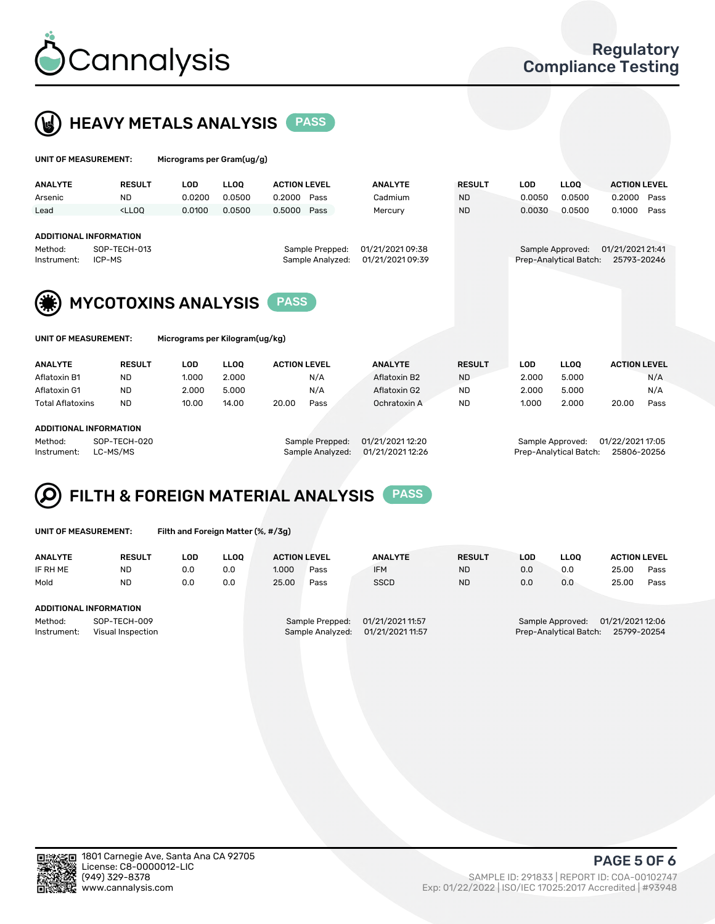



| UNIT OF MEASUREMENT:                                                                                                                                             |                                                                                                                                                                                                                                                                                                                                                                                                                                                                            | Micrograms per Gram(ug/g)      |                                 |                                         |              |                                      |                                         |                                |                                            |                  |                                     |
|------------------------------------------------------------------------------------------------------------------------------------------------------------------|----------------------------------------------------------------------------------------------------------------------------------------------------------------------------------------------------------------------------------------------------------------------------------------------------------------------------------------------------------------------------------------------------------------------------------------------------------------------------|--------------------------------|---------------------------------|-----------------------------------------|--------------|--------------------------------------|-----------------------------------------|--------------------------------|--------------------------------------------|------------------|-------------------------------------|
| <b>ANALYTE</b><br>Arsenic<br>Lead                                                                                                                                | <b>RESULT</b><br><b>ND</b><br><lloo< th=""><th><b>LOD</b><br/>0.0200<br/>0.0100</th><th><b>LLOO</b><br/>0.0500<br/>0.0500</th><th><b>ACTION LEVEL</b><br/>0.2000<br/>0.5000</th><th>Pass<br/>Pass</th><th><b>ANALYTE</b><br/>Cadmium<br/>Mercury</th><th><b>RESULT</b><br/><b>ND</b><br/><b>ND</b></th><th><b>LOD</b><br/>0.0050<br/>0.0030</th><th><b>LLOQ</b><br/>0.0500<br/>0.0500</th><th>0.2000<br/>0.1000</th><th><b>ACTION LEVEL</b><br/>Pass<br/>Pass</th></lloo<> | <b>LOD</b><br>0.0200<br>0.0100 | <b>LLOO</b><br>0.0500<br>0.0500 | <b>ACTION LEVEL</b><br>0.2000<br>0.5000 | Pass<br>Pass | <b>ANALYTE</b><br>Cadmium<br>Mercury | <b>RESULT</b><br><b>ND</b><br><b>ND</b> | <b>LOD</b><br>0.0050<br>0.0030 | <b>LLOQ</b><br>0.0500<br>0.0500            | 0.2000<br>0.1000 | <b>ACTION LEVEL</b><br>Pass<br>Pass |
| <b>ADDITIONAL INFORMATION</b><br>SOP-TECH-013<br>01/21/2021 09:38<br>Sample Prepped:<br>Method:<br>01/21/2021 09:39<br>Sample Analyzed:<br>Instrument:<br>ICP-MS |                                                                                                                                                                                                                                                                                                                                                                                                                                                                            |                                |                                 |                                         |              |                                      |                                         |                                | Sample Approved:<br>Prep-Analytical Batch: | 01/21/2021 21:41 | 25793-20246                         |
| <b>MYCOTOXINS ANALYSIS</b><br><b>PASS</b>                                                                                                                        |                                                                                                                                                                                                                                                                                                                                                                                                                                                                            |                                |                                 |                                         |              |                                      |                                         |                                |                                            |                  |                                     |
| UNIT OF MEASUREMENT:<br>Micrograms per Kilogram(ug/kg)                                                                                                           |                                                                                                                                                                                                                                                                                                                                                                                                                                                                            |                                |                                 |                                         |              |                                      |                                         |                                |                                            |                  |                                     |

| <b>ANALYTE</b>          | <b>RESULT</b> | LOD   | ∟LOO  | <b>ACTION LEVEL</b> |      | <b>ANALYTE</b> | <b>RESULT</b> | LOD   | LLOO  | <b>ACTION LEVEL</b> |      |
|-------------------------|---------------|-------|-------|---------------------|------|----------------|---------------|-------|-------|---------------------|------|
| Aflatoxin B1            | <b>ND</b>     | 1.000 | 2.000 |                     | N/A  | Aflatoxin B2   | <b>ND</b>     | 2.000 | 5.000 |                     | N/A  |
| Aflatoxin G1            | <b>ND</b>     | 2.000 | 5.000 |                     | N/A  | Aflatoxin G2   | <b>ND</b>     | 2.000 | 5.000 |                     | N/A  |
| <b>Total Aflatoxins</b> | <b>ND</b>     | 10.00 | 14.00 | 20.00               | Pass | Ochratoxin A   | <b>ND</b>     | 1.000 | 2.000 | 20.00               | Pass |
|                         |               |       |       |                     |      |                |               |       |       |                     |      |
| ADDITIONAL INFORMATION  |               |       |       |                     |      |                |               |       |       |                     |      |

Method: SOP-TECH-020 Sample Prepped: 01/21/2021 12:20 Sample Approved: 01/22/2021 17:05 Instrument: LC-MS/MS Sample Analyzed: 01/21/2021 12:26 Prep-Analytical Batch: 25806-20256

# FILTH & FOREIGN MATERIAL ANALYSIS PASS

UNIT OF MEASUREMENT: Filth and Foreign Matter (%, #/3g)

| <b>ANALYTE</b>                                              | <b>RESULT</b> | LOD | <b>LLOO</b> | <b>ACTION LEVEL</b>                                                         |      | <b>ANALYTE</b> | <b>RESULT</b> | LOD                                                                           | <b>LLOO</b> | <b>ACTION LEVEL</b> |      |  |
|-------------------------------------------------------------|---------------|-----|-------------|-----------------------------------------------------------------------------|------|----------------|---------------|-------------------------------------------------------------------------------|-------------|---------------------|------|--|
| IF RH ME                                                    | <b>ND</b>     | 0.0 | 0.0         | 1.000                                                                       | Pass | <b>IFM</b>     | <b>ND</b>     | 0.0                                                                           | 0.0         | 25.00               | Pass |  |
| Mold                                                        | <b>ND</b>     | 0.0 | 0.0         | 25.00                                                                       | Pass | <b>SSCD</b>    | <b>ND</b>     | 0.0                                                                           | 0.0         | 25.00               | Pass |  |
| ADDITIONAL INFORMATION                                      |               |     |             |                                                                             |      |                |               |                                                                               |             |                     |      |  |
| Method:<br>SOP-TECH-009<br>Instrument:<br>Visual Inspection |               |     |             | 01/21/2021 11:57<br>Sample Prepped:<br>01/21/2021 11:57<br>Sample Analyzed: |      |                |               | 01/21/2021 12:06<br>Sample Approved:<br>Prep-Analytical Batch:<br>25799-20254 |             |                     |      |  |